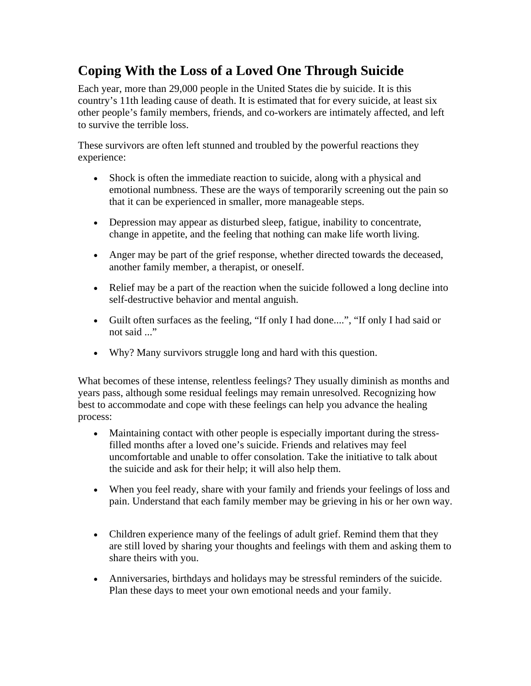## **Coping With the Loss of a Loved One Through Suicide**

Each year, more than 29,000 people in the United States die by suicide. It is this country's 11th leading cause of death. It is estimated that for every suicide, at least six other people's family members, friends, and co-workers are intimately affected, and left to survive the terrible loss.

These survivors are often left stunned and troubled by the powerful reactions they experience:

- Shock is often the immediate reaction to suicide, along with a physical and emotional numbness. These are the ways of temporarily screening out the pain so that it can be experienced in smaller, more manageable steps.
- Depression may appear as disturbed sleep, fatigue, inability to concentrate, change in appetite, and the feeling that nothing can make life worth living.
- Anger may be part of the grief response, whether directed towards the deceased, another family member, a therapist, or oneself.
- Relief may be a part of the reaction when the suicide followed a long decline into self-destructive behavior and mental anguish.
- Guilt often surfaces as the feeling, "If only I had done....", "If only I had said or not said ..."
- Why? Many survivors struggle long and hard with this question.

What becomes of these intense, relentless feelings? They usually diminish as months and years pass, although some residual feelings may remain unresolved. Recognizing how best to accommodate and cope with these feelings can help you advance the healing process:

- Maintaining contact with other people is especially important during the stressfilled months after a loved one's suicide. Friends and relatives may feel uncomfortable and unable to offer consolation. Take the initiative to talk about the suicide and ask for their help; it will also help them.
- When you feel ready, share with your family and friends your feelings of loss and pain. Understand that each family member may be grieving in his or her own way.
- Children experience many of the feelings of adult grief. Remind them that they are still loved by sharing your thoughts and feelings with them and asking them to share theirs with you.
- Anniversaries, birthdays and holidays may be stressful reminders of the suicide. Plan these days to meet your own emotional needs and your family.